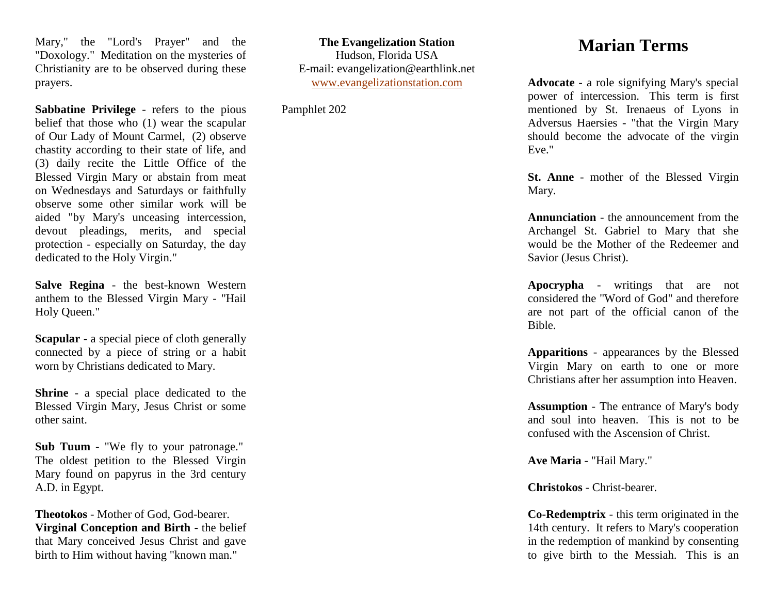Mary," the "Lord's Prayer" and the "Doxology." Meditation on the mysteries of Christianity are to be observed during these prayers.

**Sabbatine Privilege** - refers to the pious belief that those who (1) wear the scapular of Our Lady of Mount Carmel, (2) observe chastity according to their state of life, and (3) daily recite the Little Office of the Blessed Virgin Mary or abstain from meat on Wednesdays and Saturdays or faithfully observe some other similar work will be aided "by Mary's unceasing intercession, devout pleadings, merits, and special protection - especially on Saturday, the day dedicated to the Holy Virgin."

**Salve Regina** - the best-known Western anthem to the Blessed Virgin Mary - "Hail Holy Queen."

**Scapular** - a special piece of cloth generally connected by a piece of string or a habit worn by Christians dedicated to Mary.

**Shrine** - a special place dedicated to the Blessed Virgin Mary, Jesus Christ or some other saint.

**Sub Tuum** - "We fly to your patronage." The oldest petition to the Blessed Virgin Mary found on papyrus in the 3rd century A.D. in Egypt.

**Theotokos** - Mother of God, God-bearer. **Virginal Conception and Birth** - the belief that Mary conceived Jesus Christ and gave birth to Him without having "known man."

**The Evangelization Station** Hudson, Florida USA E-mail: evangelization@earthlink.net [www.evangelizationstation.com](http://www.pjpiisoe.org/)

Pamphlet 202

## **Marian Terms**

**Advocate** - a role signifying Mary's special power of intercession. This term is first mentioned by St. Irenaeus of Lyons in Adversus Haersies - "that the Virgin Mary should become the advocate of the virgin Eve."

**St. Anne** - mother of the Blessed Virgin Mary.

**Annunciation** - the announcement from the Archangel St. Gabriel to Mary that she would be the Mother of the Redeemer and Savior (Jesus Christ).

**Apocrypha** - writings that are not considered the "Word of God" and therefore are not part of the official canon of the Bible.

**Apparitions** - appearances by the Blessed Virgin Mary on earth to one or more Christians after her assumption into Heaven.

**Assumption** - The entrance of Mary's body and soul into heaven. This is not to be confused with the Ascension of Christ.

**Ave Maria** - "Hail Mary."

**Christokos** - Christ-bearer.

**Co-Redemptrix** - this term originated in the 14th century. It refers to Mary's cooperation in the redemption of mankind by consenting to give birth to the Messiah. This is an